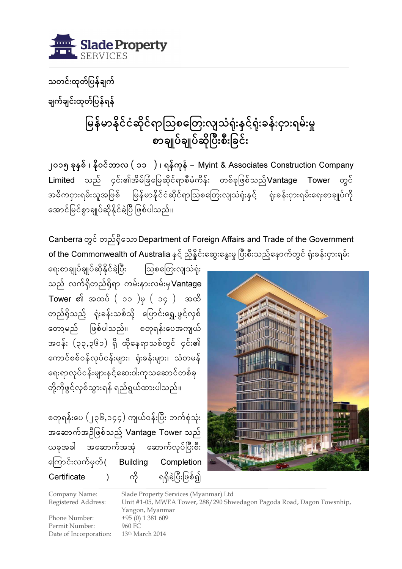

သတင်းထုတ်ပြန်ချက် ချက်ချင်းထုတ်ပြန်ရန်

## မြန်မာနိုင်ငံဆိုင်ရာဩစတြေးလျသံရုံးနှင့်ရုံးခန်းငှားရမ်းမှု **စာချုပ်ချုပ်ဆိုပြီးစီးခြင်း**

၂၀၁၅ ခုနစ် ၊ နိဝင်ဘာလ ( ၁၁ ) ၊ ရန်ကုန် – Myint & Associates Construction Company Limited သည် ၄င်း၏အိမ်ခြံမြေဆိုင်ရာစီမံကိန်း တစ်ခုဖြစ်သည်Vantage Tower တွင် အဓိကငှားရမ်းသူအဖြစ် မြန်မာနိုင်ငံဆိုင်ရာသြစတြေးလျသံရုံးနှင့် ရုံးခန်းငှားရမ်းရေးစာချုပ်ကို အောင်မြင်စွာချုပ်ဆိုနိုင်ခဲ့ပြီ ဖြစ်ပါသည်။

Canberra တွင် တည်ရှိသော Department of Foreign Affairs and Trade of the Government of the Commonwealth of Australia နင် ညိနိူင်းဆွေးနွေးမှု ပြီးစီးသည်နောက်တွင် ရုံးခန်းငှားရမ်း

ရေးစာချုပ်ချုပ်ဆိုနိုင်ခဲ့ပြီး ဩစတြေးလျသံရုံး သည် လက်ရှိတည်ရှိရာ ကမ်းနားလမ်းမှ**Vantage** Tower ၏ အထပ်  $($  ၁၁ )မှ  $($  ၁၄  $)$  အထိ တည်ရှိသည် ရုံးခန်းသစ်သို့ ပြောင်းရွေ့ဖွင့်လှစ် ကော့မည် ဖြစ်ပါသည်။ စတုရန်းပေအကျယ် အဝန်း (၃၃,၃၆၁) ရှိ ထိုနေရာသစ်တွင် ၄င်း၏ ကောင်စစ်ဝန်လုပ်ငန်းများ၊ ရုံးခန်းများ၊ သံတမန် ရေးရာလုပ်ငန်းများနင့်ဆေးဝါးကုသဆောင်တစ်ခု တိုကိုဖွင်လှစ်သွားရန် ရည်ရွယ်ထားပါသည်။

စတုရန်းပေ (၂၃၆,၁၄၄) ကျယ်ဝန်းပြီး ဘက်စုံသုံး အဆောက်အဉီဖြစ်သည့် Vantage Tower သည် ယခုအခါ အဆောက်အအုံ ဆောက်လုပ်ပြီးစီး ကြောင်းလက်မှတ်( Building Completion  $\text{Centificance}$  ) ကို ရရှိခဲ့ပြီးဖြစ်၍



Phone Number: +95 (0) 1 381 609<br>Permit Number: 960 FC Permit Number: Date of Incorporation: 13<sup>th</sup> March 2014

Company Name: Slade Property Services (Myanmar) Ltd Registered Address: Unit #1-05, MWEA Tower, 288/290 Shwedagon Pagoda Road, Dagon Towsnhip, Yangon, Myanmar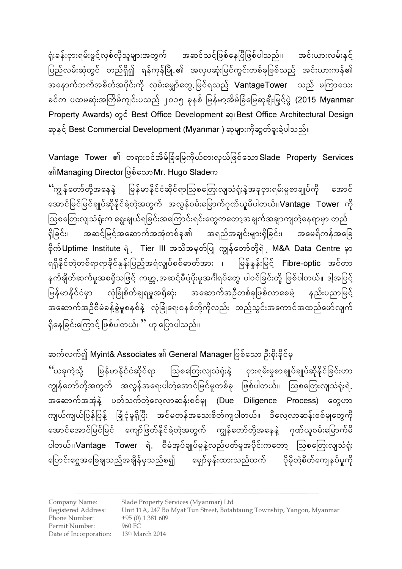ရုံးခန်းငှားရမ်းဖွင့်လှစ်လိုသူများအတွက် အဆင်သင့်ဖြစ်နေပြီဖြစ်ပါသည်။ အင်းယားလမ်းနှင့် ပြည်လမ်းဆုံတွင် တည်ရှိ၍ ရန်ကုန်မြို့၏ အလုပဆုံးမြင်ကွင်းတစ်ခုဖြစ်သည် အင်းယားကန်၏ အနောက်ဘက်အစိတ်အပိုင်းကို လှမ်းမှော်တွေ့.မြင်ရသည့် VantageTower သည် မကြာသေး ခင်က ပထမဆုံးအကြိမ်ကျင်းပသည် ၂၀၁၅ ခုနှစ် မြန်မာ့အိမ်ခြံမြေဆုချီးမြှင်ပွဲ (2015 Myanmar Property Awards) ogé Best Office Development son Best Office Architectural Design ဆုနှင့် Best Commercial Development (Myanmar ) ဆုများကိုဆွတ်ခူးခဲ့ပါသည်။

Vantage Tower ၏ တရားဝင်အိမ်ခြံမြေကိုယ်စားလှယ်ဖြစ်သောSlade Property Services ၏Managing Director ဖြစ်သော Mr. Hugo Sladeက

ိကျွန်တော်တို့အနေနဲ့ မြန်မာနိုင်ငံဆိုင်ရာဩစတြေးလျသံရုံးနဲ့အခုငှားရမ်းမူစာချုပ်ကို အောင် အောင်မြင်မြင်ချုပ်ဆိုနိုင်ခဲ့တဲ့အတွက် အလွန်ဝမ်းမြောက်ဂုဏ်ယူမိပါတယ်။**Vantage Tower** ကို ဩစတြေးလျသံရုံးက ရွေးချယ်ရခြင်းအကြောင်းရင်းတွေကတော့အချက်အချာကျတဲ့နေရာမှာ တည် ရှိခြင်း၊ အဆင့်မြင့်အဆောက်အအုံတစ်ခု၏ အရည်အချင်းများရှိခြင်း၊ အမေရိကန်အခြေ စိုက်Uptime Institute ရဲ့ Tier III အသိအမှတ်ပြု ကျွန်တော်တို့ရဲ့ M&A Data Centre မှာ ရရှိနိုင်တဲ့တစ်ရာရာခိုင်နူန်းပြည့်အရံလျှပ်စစ်ဓာတ်အား ၊ မြန်နူန်းမြင့် Fibre-optic အင်တာ နက်ချိတ်ဆက်မှုအစရှိသဖြင့် ကမ္ဘာ့ အဆင့်မီပံ့ပိုးမှုအင်္ဂါရပ်တွေ ပါဝင်ခြင်းတို့ ဖြစ်ပါတယ်။ ဒါ့အပြင့် မြန်မာနိုင်ငံမှာ လုံခြုံစိတ်ချရမှုအရှိဆုံး အဆောက်အဦတစ်ခုဖြစ်လာစေမဲ့ နည်းပညာမြင့် အဆောက်အဦစီမံခန့်ခွဲမှုစနစ်နဲ့ လုံခြုံရေးစနစ်တို့ကိုလည်း ထည့်သွင်းအကောင်အထည်ဖော်လျက် ရှိနေခြင်းကြောင့် ဖြစ်ပါတယ်။ '' ဟု ပြောပါသည်။

ဆက်လက်၍ Myint& Associates ၏ General Manager ဖြစ်သော ဦးစိုးခိုင်မှ

 $\lq\lq$ ယခုကဲ့သို့ မြန်မာနိုင်ငံဆိုင်ရာ ဩစတြေးလျသံရုံးနဲ့ ငှားရမ်းမှုစာချုပ်ချုပ်ဆိုနိုင်ခြင်းဟာ ကျွန်တော်တို့အတွက် အလွန်အရေးပါတဲ့အောင်မြင်မှုတစ်ခု ဖြစ်ပါတယ်။ ဩစတြေးလျသံရုံးရဲ. အဆောက်အအုံနဲ့ ပတ်သက်တဲ့လေ့လာဆန်းစစ်မှု (Due Diligence Process) တွေဟာ ကျယ်ကျယ်ပြန်ပြန့် ခြုံငုံမှုရှိပြီး အင်မတန်အသေးစိတ်ကျပါတယ်။ ဒီလေ့လာဆန်းစစ်မှုတွေကို အောင်အောင်မြင်မြင် ကျော်ဖြတ်နိုင်ခဲ့တဲ့အတွက် ကျွန်တော်တို့အနေနဲ့ ဂုဏ်ယူဝမ်းမြောက်မိ ပါတယ်၊၊**Vantage Tower** ရဲ. စီမံအုပ်ချုပ်မှုနဲ့လည်ပတ်မှုအပိုင်းကတော့ ဩစတြေးလျသံရုံး ကြောင်းရွေအခြေချသည်အချိန်မှသည်စ၍ မျော်မှန်းထားသည်ထက် ပိုမိုတဲ့စိတ်ကျေနပ်မှုကို